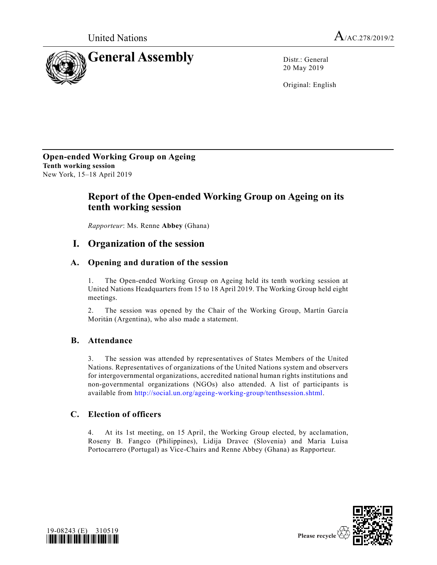



20 May 2019

Original: English

**Open-ended Working Group on Ageing Tenth working session** New York, 15–18 April 2019

# **Report of the Open-ended Working Group on Ageing on its tenth working session**

*Rapporteur*: Ms. Renne **Abbey** (Ghana)

## **I. Organization of the session**

## **A. Opening and duration of the session**

1. The Open-ended Working Group on Ageing held its tenth working session at United Nations Headquarters from 15 to 18 April 2019. The Working Group held eight meetings.

2. The session was opened by the Chair of the Working Group, Martín García Moritán (Argentina), who also made a statement.

### **B. Attendance**

3. The session was attended by representatives of States Members of the United Nations. Representatives of organizations of the United Nations system and observers for intergovernmental organizations, accredited national human rights institutions and non-governmental organizations (NGOs) also attended. A list of participants is available from [http://social.un.org/ageing-working-group/tenthsession.shtml.](http://social.un.org/ageing-working-group/tenthsession.shtml)

### **C. Election of officers**

4. At its 1st meeting, on 15 April, the Working Group elected, by acclamation, Roseny B. Fangco (Philippines), Lidija Dravec (Slovenia) and Maria Luisa Portocarrero (Portugal) as Vice-Chairs and Renne Abbey (Ghana) as Rapporteur.



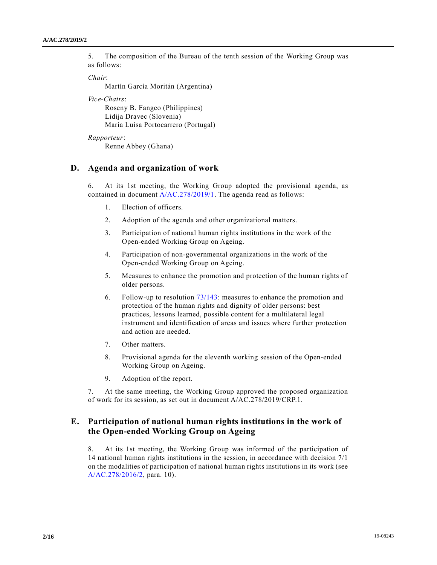5. The composition of the Bureau of the tenth session of the Working Group was as follows:

*Chair*:

Martín García Moritán (Argentina)

*Vice-Chairs*:

Roseny B. Fangco (Philippines) Lidija Dravec (Slovenia) Maria Luisa Portocarrero (Portugal)

```
Rapporteur:
```
Renne Abbey (Ghana)

### **D. Agenda and organization of work**

6. At its 1st meeting, the Working Group adopted the provisional agenda, as contained in document [A/AC.278/2019/1.](https://undocs.org/en/A/AC.278/2019/1) The agenda read as follows:

- 1. Election of officers.
- 2. Adoption of the agenda and other organizational matters.
- 3. Participation of national human rights institutions in the work of the Open-ended Working Group on Ageing.
- 4. Participation of non-governmental organizations in the work of the Open-ended Working Group on Ageing.
- 5. Measures to enhance the promotion and protection of the human rights of older persons.
- 6. Follow-up to resolution [73/143:](https://undocs.org/en/A/RES/73/143) measures to enhance the promotion and protection of the human rights and dignity of older persons: best practices, lessons learned, possible content for a multilateral legal instrument and identification of areas and issues where further protection and action are needed.
- 7. Other matters.
- 8. Provisional agenda for the eleventh working session of the Open-ended Working Group on Ageing.
- 9. Adoption of the report.

7. At the same meeting, the Working Group approved the proposed organization of work for its session, as set out in document A/AC.278/2019/CRP.1.

## **E. Participation of national human rights institutions in the work of the Open-ended Working Group on Ageing**

8. At its 1st meeting, the Working Group was informed of the participation of 14 national human rights institutions in the session, in accordance with decision 7/1 on the modalities of participation of national human rights institutions in its work (see [A/AC.278/2016/2,](https://undocs.org/en/A/AC.278/2016/2) para. 10).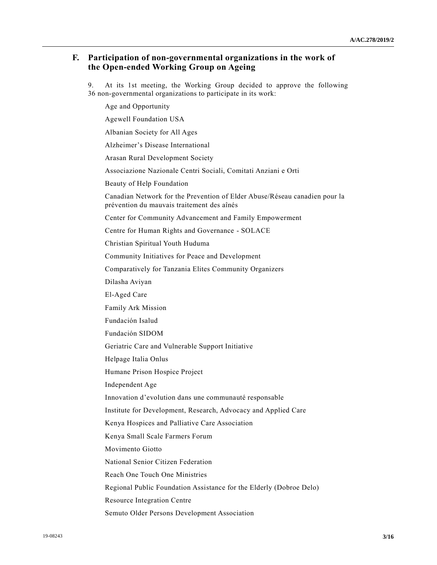### **F. Participation of non-governmental organizations in the work of the Open-ended Working Group on Ageing**

9. At its 1st meeting, the Working Group decided to approve the following 36 non-governmental organizations to participate in its work:

Age and Opportunity Agewell Foundation USA Albanian Society for All Ages Alzheimer's Disease International Arasan Rural Development Society Associazione Nazionale Centri Sociali, Comitati Anziani e Orti Beauty of Help Foundation Canadian Network for the Prevention of Elder Abuse/Réseau canadien pour la prévention du mauvais traitement des aînés Center for Community Advancement and Family Empowerment Centre for Human Rights and Governance - SOLACE Christian Spiritual Youth Huduma Community Initiatives for Peace and Development Comparatively for Tanzania Elites Community Organizers Dilasha Aviyan El-Aged Care Family Ark Mission Fundación Isalud Fundación SIDOM Geriatric Care and Vulnerable Support Initiative Helpage Italia Onlus Humane Prison Hospice Project Independent Age Innovation d'evolution dans une communauté responsable Institute for Development, Research, Advocacy and Applied Care Kenya Hospices and Palliative Care Association Kenya Small Scale Farmers Forum Movimento Giotto National Senior Citizen Federation Reach One Touch One Ministries Regional Public Foundation Assistance for the Elderly (Dobroe Delo) Resource Integration Centre Semuto Older Persons Development Association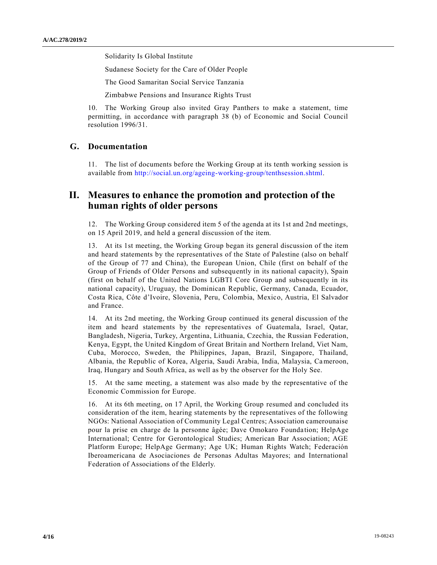Solidarity Is Global Institute

Sudanese Society for the Care of Older People

The Good Samaritan Social Service Tanzania

Zimbabwe Pensions and Insurance Rights Trust

10. The Working Group also invited Gray Panthers to make a statement, time permitting, in accordance with paragraph 38 (b) of Economic and Social Council resolution 1996/31.

### **G. Documentation**

11. The list of documents before the Working Group at its tenth working session is available from [http://social.un.org/ageing-working-group/tenthsession.shtml.](http://social.un.org/ageing-working-group/tenthsession.shtml)

## **II. Measures to enhance the promotion and protection of the human rights of older persons**

12. The Working Group considered item 5 of the agenda at its 1st and 2nd meetings, on 15 April 2019, and held a general discussion of the item.

13. At its 1st meeting, the Working Group began its general discussion of the item and heard statements by the representatives of the State of Palestine (also on behalf of the Group of 77 and China), the European Union, Chile (first on behalf of the Group of Friends of Older Persons and subsequently in its national capacity), Spain (first on behalf of the United Nations LGBTI Core Group and subsequently in its national capacity), Uruguay, the Dominican Republic, Germany, Canada, Ecuador, Costa Rica, Côte d'Ivoire, Slovenia, Peru, Colombia, Mexico, Austria, El Salvador and France.

14. At its 2nd meeting, the Working Group continued its general discussion of the item and heard statements by the representatives of Guatemala, Israel, Qatar, Bangladesh, Nigeria, Turkey, Argentina, Lithuania, Czechia, the Russian Federation, Kenya, Egypt, the United Kingdom of Great Britain and Northern Ireland, Viet Nam, Cuba, Morocco, Sweden, the Philippines, Japan, Brazil, Singapore, Thailand, Albania, the Republic of Korea, Algeria, Saudi Arabia, India, Malaysia, Cameroon, Iraq, Hungary and South Africa, as well as by the observer for the Holy See.

15. At the same meeting, a statement was also made by the representative of the Economic Commission for Europe.

16. At its 6th meeting, on 17 April, the Working Group resumed and concluded its consideration of the item, hearing statements by the representatives of the following NGOs: National Association of Community Legal Centres; Association camerounaise pour la prise en charge de la personne âgée; Dave Omokaro Foundation; HelpAge International; Centre for Gerontological Studies; American Bar Association; AGE Platform Europe; HelpAge Germany; Age UK; Human Rights Watch; Federación Iberoamericana de Asociaciones de Personas Adultas Mayores; and International Federation of Associations of the Elderly.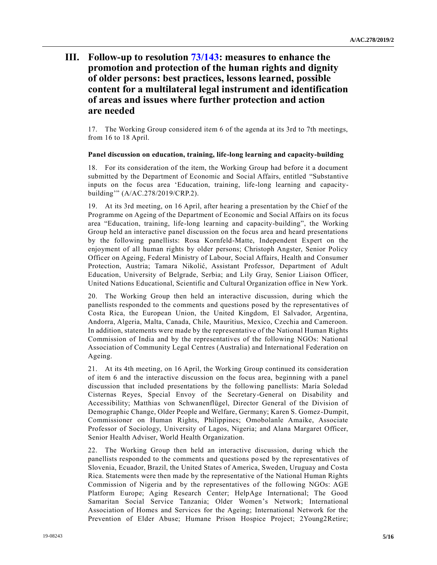# **III. Follow-up to resolution [73/143:](https://undocs.org/en/A/RES/73/143) measures to enhance the promotion and protection of the human rights and dignity of older persons: best practices, lessons learned, possible content for a multilateral legal instrument and identification of areas and issues where further protection and action are needed**

17. The Working Group considered item 6 of the agenda at its 3rd to 7th meetings, from 16 to 18 April.

#### **Panel discussion on education, training, life-long learning and capacity-building**

18. For its consideration of the item, the Working Group had before it a document submitted by the Department of Economic and Social Affairs, entitled "Substantive inputs on the focus area 'Education, training, life-long learning and capacitybuilding'" (A/AC.278/2019/CRP.2).

19. At its 3rd meeting, on 16 April, after hearing a presentation by the Chief of the Programme on Ageing of the Department of Economic and Social Affairs on its focus area "Education, training, life-long learning and capacity-building", the Working Group held an interactive panel discussion on the focus area and heard presentations by the following panellists: Rosa Kornfeld-Matte, Independent Expert on the enjoyment of all human rights by older persons; Christoph Angster, Senior Policy Officer on Ageing, Federal Ministry of Labour, Social Affairs, Health and Consumer Protection, Austria; Tamara Nikolić, Assistant Professor, Department of Adult Education, University of Belgrade, Serbia; and Lily Gray, Senior Liaison Officer, United Nations Educational, Scientific and Cultural Organization office in New York.

20. The Working Group then held an interactive discussion, during which the panellists responded to the comments and questions posed by the representatives of Costa Rica, the European Union, the United Kingdom, El Salvador, Argentina, Andorra, Algeria, Malta, Canada, Chile, Mauritius, Mexico, Czechia and Cameroon. In addition, statements were made by the representative of the National Human Rights Commission of India and by the representatives of the following NGOs: National Association of Community Legal Centres (Australia) and International Federation on Ageing.

21. At its 4th meeting, on 16 April, the Working Group continued its consideration of item 6 and the interactive discussion on the focus area, beginning with a panel discussion that included presentations by the following panellists: María Soledad Cisternas Reyes, Special Envoy of the Secretary-General on Disability and Accessibility; Matthias von Schwanenflügel, Director General of the Division of Demographic Change, Older People and Welfare, Germany; Karen S. Gomez-Dumpit, Commissioner on Human Rights, Philippines; Omobolanle Amaike, Associate Professor of Sociology, University of Lagos, Nigeria; and Alana Margaret Officer, Senior Health Adviser, World Health Organization.

22. The Working Group then held an interactive discussion, during which the panellists responded to the comments and questions posed by the representatives of Slovenia, Ecuador, Brazil, the United States of America, Sweden, Uruguay and Costa Rica. Statements were then made by the representative of the National Human Rights Commission of Nigeria and by the representatives of the following NGOs: AGE Platform Europe; Aging Research Center; HelpAge International; The Good Samaritan Social Service Tanzania; Older Women's Network; International Association of Homes and Services for the Ageing; International Network for the Prevention of Elder Abuse; Humane Prison Hospice Project; 2Young2Retire;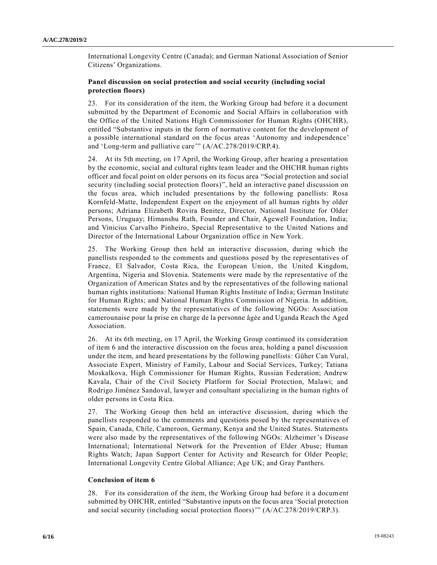International Longevity Centre (Canada); and German National Association of Senior Citizens' Organizations.

#### **Panel discussion on social protection and social security (including social protection floors)**

23. For its consideration of the item, the Working Group had before it a document submitted by the Department of Economic and Social Affairs in collaboration with the Office of the United Nations High Commissioner for Human Rights (OHCHR), entitled "Substantive inputs in the form of normative content for the development of a possible international standard on the focus areas 'Autonomy and independence' and 'Long-term and palliative care'" (A/AC.278/2019/CRP.4).

24. At its 5th meeting, on 17 April, the Working Group, after hearing a presentation by the economic, social and cultural rights team leader and the OHCHR human rights officer and focal point on older persons on its focus area "Social protection and social security (including social protection floors)", held an interactive panel discussion on the focus area, which included presentations by the following panellists: Rosa Kornfeld-Matte, Independent Expert on the enjoyment of all human rights by older persons; Adriana Elizabeth Rovira Benitez, Director, National Institute for Older Persons, Uruguay; Himanshu Rath, Founder and Chair, Agewell Foundation, India; and Vinicius Carvalho Pinheiro, Special Representative to the United Nations and Director of the International Labour Organization office in New York.

25. The Working Group then held an interactive discussion, during which the panellists responded to the comments and questions posed by the representatives of France, El Salvador, Costa Rica, the European Union, the United Kingdom, Argentina, Nigeria and Slovenia. Statements were made by the representative of the Organization of American States and by the representatives of the following national human rights institutions: National Human Rights Institute of India; German Institute for Human Rights; and National Human Rights Commission of Nigeria. In addition, statements were made by the representatives of the following NGOs: Association camerounaise pour la prise en charge de la personne âgée and Uganda Reach the Aged Association.

26. At its 6th meeting, on 17 April, the Working Group continued its consideration of item 6 and the interactive discussion on the focus area, holding a panel discussion under the item, and heard presentations by the following panellists: Güher Can Vural, Associate Expert, Ministry of Family, Labour and Social Services, Turkey; Tatiana Moskalkova, High Commissioner for Human Rights, Russian Federation; Andrew Kavala, Chair of the Civil Society Platform for Social Protection, Malawi; and Rodrigo Jiménez Sandoval, lawyer and consultant specializing in the human rights of older persons in Costa Rica.

27. The Working Group then held an interactive discussion, during which the panellists responded to the comments and questions posed by the representatives of Spain, Canada, Chile, Cameroon, Germany, Kenya and the United States. Statements were also made by the representatives of the following NGOs: Alzheimer's Disease International; International Network for the Prevention of Elder Abuse; Human Rights Watch; Japan Support Center for Activity and Research for Older People; International Longevity Centre Global Alliance; Age UK; and Gray Panthers.

#### **Conclusion of item 6**

28. For its consideration of the item, the Working Group had before it a document submitted by OHCHR, entitled "Substantive inputs on the focus area 'Social protection and social security (including social protection floors)'" (A/AC.278/2019/CRP.3).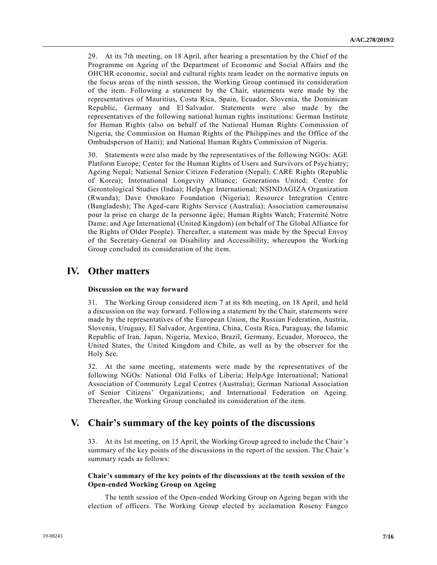29. At its 7th meeting, on 18 April, after hearing a presentation by the Chief of the Programme on Ageing of the Department of Economic and Social Affairs and the OHCHR economic, social and cultural rights team leader on the normative inputs on the focus areas of the ninth session, the Working Group continued its consideration of the item. Following a statement by the Chair, statements were made by the representatives of Mauritius, Costa Rica, Spain, Ecuador, Slovenia, the Dominican Republic, Germany and El Salvador. Statements were also made by the representatives of the following national human rights institutions: German Institute for Human Rights (also on behalf of the National Human Rights Commission of Nigeria, the Commission on Human Rights of the Philippines and the Office of the Ombudsperson of Haiti); and National Human Rights Commission of Nigeria.

30. Statements were also made by the representatives of the following NGOs: AGE Platform Europe; Center for the Human Rights of Users and Survivors of Psyc hiatry; Ageing Nepal; National Senior Citizen Federation (Nepal); CARE Rights (Republic of Korea); International Longevity Alliance; Generations United; Centre for Gerontological Studies (India); HelpAge International; NSINDAGIZA Organization (Rwanda); Dave Omokaro Foundation (Nigeria); Resource Integration Centre (Bangladesh); The Aged-care Rights Service (Australia); Association camerounaise pour la prise en charge de la personne âgée; Human Rights Watch; Fraternité Notre Dame; and Age International (United Kingdom) (on behalf of The Global Alliance for the Rights of Older People). Thereafter, a statement was made by the Special Envoy of the Secretary-General on Disability and Accessibility, whereupon the Working Group concluded its consideration of the item.

## **IV. Other matters**

#### **Discussion on the way forward**

31. The Working Group considered item 7 at its 8th meeting, on 18 April, and held a discussion on the way forward. Following a statement by the Chair, statements were made by the representatives of the European Union, the Russian Federation, Austria, Slovenia, Uruguay, El Salvador, Argentina, China, Costa Rica, Paraguay, the Islamic Republic of Iran, Japan, Nigeria, Mexico, Brazil, Germany, Ecuador, Morocco, the United States, the United Kingdom and Chile, as well as by the observer for the Holy See.

32. At the same meeting, statements were made by the representatives of the following NGOs: National Old Folks of Liberia; HelpAge International; National Association of Community Legal Centres (Australia); German National Association of Senior Citizens' Organizations; and International Federation on Ageing. Thereafter, the Working Group concluded its consideration of the item.

## **V. Chair's summary of the key points of the discussions**

33. At its 1st meeting, on 15 April, the Working Group agreed to include the Chair's summary of the key points of the discussions in the report of the session. The Chair's summary reads as follows:

#### **Chair's summary of the key points of the discussions at the tenth session of the Open-ended Working Group on Ageing**

The tenth session of the Open-ended Working Group on Ageing began with the election of officers. The Working Group elected by acclamation Roseny Fangco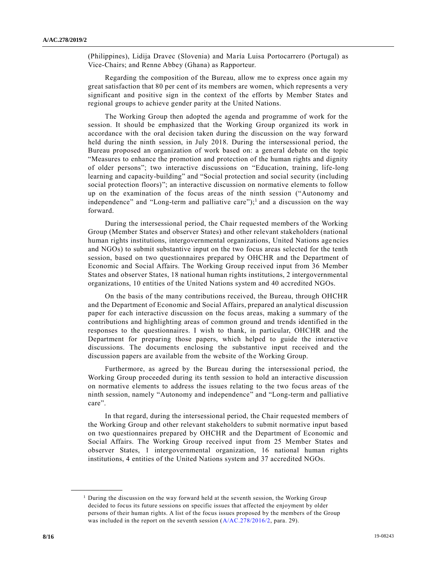(Philippines), Lidija Dravec (Slovenia) and María Luisa Portocarrero (Portugal) as Vice-Chairs; and Renne Abbey (Ghana) as Rapporteur.

Regarding the composition of the Bureau, allow me to express once again my great satisfaction that 80 per cent of its members are women, which represents a very significant and positive sign in the context of the efforts by Member States and regional groups to achieve gender parity at the United Nations.

The Working Group then adopted the agenda and programme of work for the session. It should be emphasized that the Working Group organized its work in accordance with the oral decision taken during the discussion on the way forward held during the ninth session, in July 2018. During the intersessional period, the Bureau proposed an organization of work based on: a general debate on the topic "Measures to enhance the promotion and protection of the human rights and dignity of older persons"; two interactive discussions on "Education, training, life-long learning and capacity-building" and "Social protection and social security (including social protection floors)"; an interactive discussion on normative elements to follow up on the examination of the focus areas of the ninth session ("Autonomy and independence" and "Long-term and palliative care");<sup>1</sup> and a discussion on the way forward.

During the intersessional period, the Chair requested members of the Working Group (Member States and observer States) and other relevant stakeholders (national human rights institutions, intergovernmental organizations, United Nations age ncies and NGOs) to submit substantive input on the two focus areas selected for the tenth session, based on two questionnaires prepared by OHCHR and the Department of Economic and Social Affairs. The Working Group received input from 36 Member States and observer States, 18 national human rights institutions, 2 intergovernmental organizations, 10 entities of the United Nations system and 40 accredited NGOs.

On the basis of the many contributions received, the Bureau, through OHCHR and the Department of Economic and Social Affairs, prepared an analytical discussion paper for each interactive discussion on the focus areas, making a summary of the contributions and highlighting areas of common ground and trends identified in the responses to the questionnaires. I wish to thank, in particular, OHCHR and the Department for preparing those papers, which helped to guide the interactive discussions. The documents enclosing the substantive input received and the discussion papers are available from the website of the Working Group.

Furthermore, as agreed by the Bureau during the intersessional period, the Working Group proceeded during its tenth session to hold an interactive discussion on normative elements to address the issues relating to the two focus areas of the ninth session, namely "Autonomy and independence" and "Long-term and palliative care".

In that regard, during the intersessional period, the Chair requested members of the Working Group and other relevant stakeholders to submit normative input based on two questionnaires prepared by OHCHR and the Department of Economic and Social Affairs. The Working Group received input from 25 Member States and observer States, 1 intergovernmental organization, 16 national human rights institutions, 4 entities of the United Nations system and 37 accredited NGOs.

**\_\_\_\_\_\_\_\_\_\_\_\_\_\_\_\_\_\_**

<sup>&</sup>lt;sup>1</sup> During the discussion on the way forward held at the seventh session, the Working Group decided to focus its future sessions on specific issues that affected the enjoyment by older persons of their human rights. A list of the focus issues proposed by the members of the Group was included in the report on the seventh session ( $A/AC.278/2016/2$ , para. 29).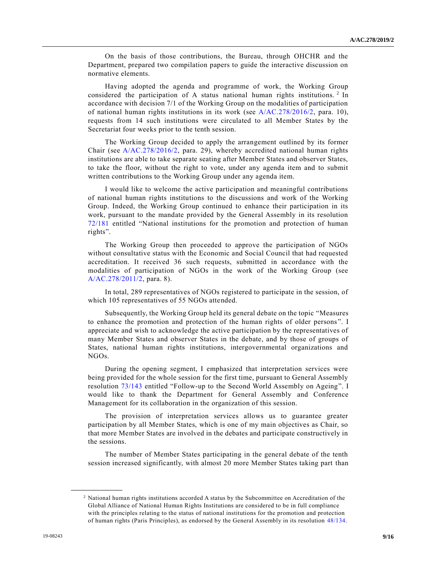On the basis of those contributions, the Bureau, through OHCHR and the Department, prepared two compilation papers to guide the interactive discussion on normative elements.

Having adopted the agenda and programme of work, the Working Group considered the participation of A status national human rights institutions.<sup>2</sup> In accordance with decision 7/1 of the Working Group on the modalities of participation of national human rights institutions in its work (see [A/AC.278/2016/2,](https://undocs.org/en/A/AC.278/2016/2) para. 10), requests from 14 such institutions were circulated to all Member States by the Secretariat four weeks prior to the tenth session.

The Working Group decided to apply the arrangement outlined by its former Chair (see [A/AC.278/2016/2,](https://undocs.org/en/A/AC.278/2016/2) para. 29), whereby accredited national human rights institutions are able to take separate seating after Member States and observer States, to take the floor, without the right to vote, under any agenda item and to submit written contributions to the Working Group under any agenda item.

I would like to welcome the active participation and meaningful contributions of national human rights institutions to the discussions and work of the Working Group. Indeed, the Working Group continued to enhance their participation in its work, pursuant to the mandate provided by the General Assembly in its resolution [72/181](https://undocs.org/en/A/RES/72/181) entitled "National institutions for the promotion and protection of human rights".

The Working Group then proceeded to approve the participation of NGOs without consultative status with the Economic and Social Council that had requested accreditation. It received 36 such requests, submitted in accordance with the modalities of participation of NGOs in the work of the Working Group (see [A/AC.278/2011/2,](https://undocs.org/en/A/AC.278/2011/2) para. 8).

In total, 289 representatives of NGOs registered to participate in the session, of which 105 representatives of 55 NGOs attended.

Subsequently, the Working Group held its general debate on the topic "Measures to enhance the promotion and protection of the human rights of older persons ". I appreciate and wish to acknowledge the active participation by the representatives of many Member States and observer States in the debate, and by those of groups of States, national human rights institutions, intergovernmental organizations and NGOs.

During the opening segment, I emphasized that interpretation services were being provided for the whole session for the first time, pursuant to General Assembly resolution [73/143](https://undocs.org/en/A/RES/73/143) entitled "Follow-up to the Second World Assembly on Ageing". I would like to thank the Department for General Assembly and Conference Management for its collaboration in the organization of this session.

The provision of interpretation services allows us to guarantee greater participation by all Member States, which is one of my main objectives as Chair, so that more Member States are involved in the debates and participate constructively in the sessions.

The number of Member States participating in the general debate of the tenth session increased significantly, with almost 20 more Member States taking part than

**\_\_\_\_\_\_\_\_\_\_\_\_\_\_\_\_\_\_**

<sup>2</sup> National human rights institutions accorded A status by the Subcommittee on Accreditation of the Global Alliance of National Human Rights Institutions are considered to be in full compliance with the principles relating to the status of national institutions for the promotion and protection of human rights (Paris Principles), as endorsed by the General Assembly in its resolution [48/134.](https://undocs.org/en/A/RES/48/134)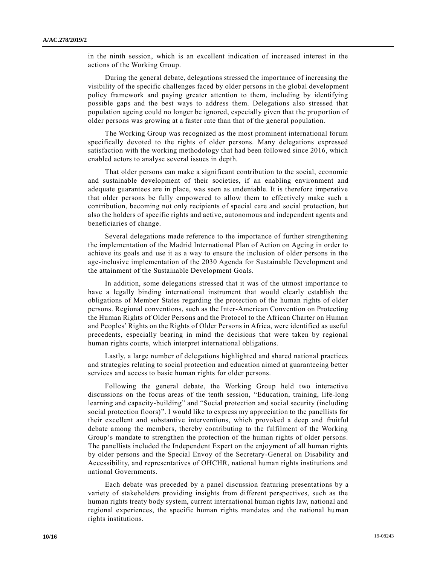in the ninth session, which is an excellent indication of increased interest in the actions of the Working Group.

During the general debate, delegations stressed the importance of increasing the visibility of the specific challenges faced by older persons in the global development policy framework and paying greater attention to them, including by identifying possible gaps and the best ways to address them. Delegations also stressed that population ageing could no longer be ignored, especially given that the proportion of older persons was growing at a faster rate than that of the general population.

The Working Group was recognized as the most prominent international forum specifically devoted to the rights of older persons. Many delegations expressed satisfaction with the working methodology that had been followed since 2016, which enabled actors to analyse several issues in depth.

That older persons can make a significant contribution to the social, economic and sustainable development of their societies, if an enabling environment and adequate guarantees are in place, was seen as undeniable. It is therefore imperative that older persons be fully empowered to allow them to effectively make such a contribution, becoming not only recipients of special care and social protection, but also the holders of specific rights and active, autonomous and independent agents and beneficiaries of change.

Several delegations made reference to the importance of further strengthening the implementation of the Madrid International Plan of Action on Ageing in order to achieve its goals and use it as a way to ensure the inclusion of older persons in the age-inclusive implementation of the 2030 Agenda for Sustainable Development and the attainment of the Sustainable Development Goals.

In addition, some delegations stressed that it was of the utmost importance to have a legally binding international instrument that would clearly establish the obligations of Member States regarding the protection of the human rights of older persons. Regional conventions, such as the Inter-American Convention on Protecting the Human Rights of Older Persons and the Protocol to the African Charter on Human and Peoples' Rights on the Rights of Older Persons in Africa, were identified as useful precedents, especially bearing in mind the decisions that were taken by regional human rights courts, which interpret international obligations.

Lastly, a large number of delegations highlighted and shared national practices and strategies relating to social protection and education aimed at guaranteeing better services and access to basic human rights for older persons.

Following the general debate, the Working Group held two interactive discussions on the focus areas of the tenth session, "Education, training, life-long learning and capacity-building" and "Social protection and social security (including social protection floors)". I would like to express my appreciation to the panellists for their excellent and substantive interventions, which provoked a deep and fruitful debate among the members, thereby contributing to the fulfilment of the Working Group's mandate to strengthen the protection of the human rights of older persons. The panellists included the Independent Expert on the enjoyment of all human rights by older persons and the Special Envoy of the Secretary-General on Disability and Accessibility, and representatives of OHCHR, national human rights institutions and national Governments.

Each debate was preceded by a panel discussion featuring presentations by a variety of stakeholders providing insights from different perspectives, such as the human rights treaty body system, current international human rights law, national and regional experiences, the specific human rights mandates and the national human rights institutions.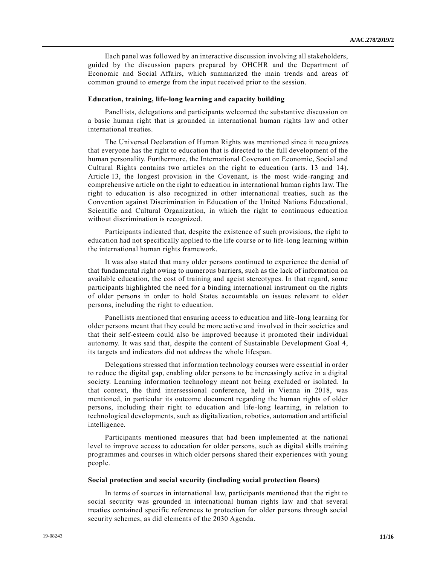Each panel was followed by an interactive discussion involving all stakeholders, guided by the discussion papers prepared by OHCHR and the Department of Economic and Social Affairs, which summarized the main trends and areas of common ground to emerge from the input received prior to the session.

#### **Education, training, life-long learning and capacity building**

Panellists, delegations and participants welcomed the substantive discussion on a basic human right that is grounded in international human rights law and other international treaties.

The Universal Declaration of Human Rights was mentioned since it recognizes that everyone has the right to education that is directed to the full development of the human personality. Furthermore, the International Covenant on Economic, Social and Cultural Rights contains two articles on the right to education (arts. 13 and 14). Article 13, the longest provision in the Covenant, is the most wide-ranging and comprehensive article on the right to education in international human rights law. The right to education is also recognized in other international treaties, such as the Convention against Discrimination in Education of the United Nations Educational, Scientific and Cultural Organization, in which the right to continuous education without discrimination is recognized.

Participants indicated that, despite the existence of such provisions, the right to education had not specifically applied to the life course or to life -long learning within the international human rights framework.

It was also stated that many older persons continued to experience the denial of that fundamental right owing to numerous barriers, such as the lack of information on available education, the cost of training and ageist stereotypes. In that regard, some participants highlighted the need for a binding international instrument on the rights of older persons in order to hold States accountable on issues relevant to older persons, including the right to education.

Panellists mentioned that ensuring access to education and life-long learning for older persons meant that they could be more active and involved in their societies and that their self-esteem could also be improved because it promoted their individual autonomy. It was said that, despite the content of Sustainable Development Goal 4, its targets and indicators did not address the whole lifespan.

Delegations stressed that information technology courses were essential in order to reduce the digital gap, enabling older persons to be increasingly active in a digital society. Learning information technology meant not being excluded or isolated. In that context, the third intersessional conference, held in Vienna in 2018, was mentioned, in particular its outcome document regarding the human rights of older persons, including their right to education and life-long learning, in relation to technological developments, such as digitalization, robotics, automation and artificial intelligence.

Participants mentioned measures that had been implemented at the national level to improve access to education for older persons, such as digital skills training programmes and courses in which older persons shared their experiences with young people.

#### **Social protection and social security (including social protection floors)**

In terms of sources in international law, participants mentioned that the right to social security was grounded in international human rights law and that several treaties contained specific references to protection for older persons through social security schemes, as did elements of the 2030 Agenda.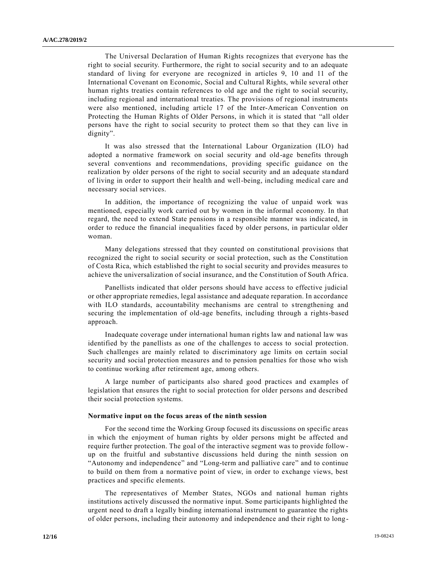The Universal Declaration of Human Rights recognizes that everyone has the right to social security. Furthermore, the right to social security and to an adequate standard of living for everyone are recognized in articles 9, 10 and 11 of the International Covenant on Economic, Social and Cultural Rights, while several other human rights treaties contain references to old age and the right to social security, including regional and international treaties. The provisions of regional instruments were also mentioned, including article 17 of the Inter-American Convention on Protecting the Human Rights of Older Persons, in which it is stated that "all older persons have the right to social security to protect them so that they can live in dignity".

It was also stressed that the International Labour Organization (ILO) had adopted a normative framework on social security and old-age benefits through several conventions and recommendations, providing specific guidance on the realization by older persons of the right to social security and an adequate sta ndard of living in order to support their health and well-being, including medical care and necessary social services.

In addition, the importance of recognizing the value of unpaid work was mentioned, especially work carried out by women in the informal economy. In that regard, the need to extend State pensions in a responsible manner was indicated, in order to reduce the financial inequalities faced by older persons, in particular older woman.

Many delegations stressed that they counted on constitutional provisions that recognized the right to social security or social protection, such as the Constitution of Costa Rica, which established the right to social security and provides measures to achieve the universalization of social insurance, and the Constitution of South Africa.

Panellists indicated that older persons should have access to effective judicial or other appropriate remedies, legal assistance and adequate reparation. In accordance with ILO standards, accountability mechanisms are central to strengthening and securing the implementation of old-age benefits, including through a rights-based approach.

Inadequate coverage under international human rights law and national law was identified by the panellists as one of the challenges to access to social protection. Such challenges are mainly related to discriminatory age limits on certain social security and social protection measures and to pension penalties for those who wish to continue working after retirement age, among others.

A large number of participants also shared good practices and examples of legislation that ensures the right to social protection for older persons and described their social protection systems.

#### **Normative input on the focus areas of the ninth session**

For the second time the Working Group focused its discussions on specific areas in which the enjoyment of human rights by older persons might be affected and require further protection. The goal of the interactive segment was to provide followup on the fruitful and substantive discussions held during the ninth session on "Autonomy and independence" and "Long-term and palliative care" and to continue to build on them from a normative point of view, in order to exchange views, best practices and specific elements.

The representatives of Member States, NGOs and national human rights institutions actively discussed the normative input. Some participants highlighted the urgent need to draft a legally binding international instrument to guarantee the rights of older persons, including their autonomy and independence and their right to long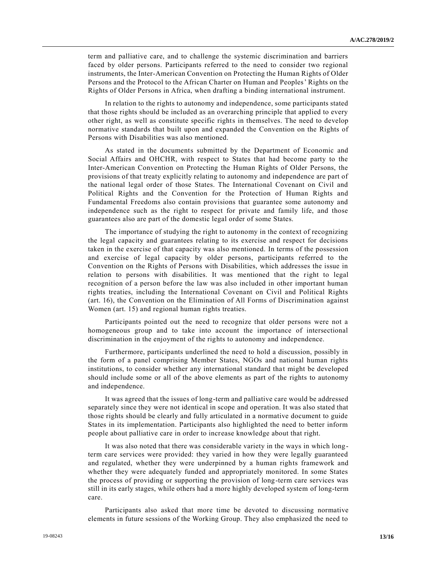term and palliative care, and to challenge the systemic discrimination and barriers faced by older persons. Participants referred to the need to consider two regional instruments, the Inter-American Convention on Protecting the Human Rights of Older Persons and the Protocol to the African Charter on Human and Peoples' Rights on the Rights of Older Persons in Africa, when drafting a binding international instrument.

In relation to the rights to autonomy and independence, some participants stated that those rights should be included as an overarching principle that applied to every other right, as well as constitute specific rights in themselves. The need to develop normative standards that built upon and expanded the Convention on the Rights of Persons with Disabilities was also mentioned.

As stated in the documents submitted by the Department of Economic and Social Affairs and OHCHR, with respect to States that had become party to the Inter-American Convention on Protecting the Human Rights of Older Persons, the provisions of that treaty explicitly relating to autonomy and independence are part of the national legal order of those States. The International Covenant on Civil and Political Rights and the Convention for the Protection of Human Rights and Fundamental Freedoms also contain provisions that guarantee some autonomy and independence such as the right to respect for private and family life, and those guarantees also are part of the domestic legal order of some States.

The importance of studying the right to autonomy in the context of recognizing the legal capacity and guarantees relating to its exercise and respect for decisions taken in the exercise of that capacity was also mentioned. In terms of the possession and exercise of legal capacity by older persons, participants referred to the Convention on the Rights of Persons with Disabilities, which addresses the issue in relation to persons with disabilities. It was mentioned that the right to legal recognition of a person before the law was also included in other important human rights treaties, including the International Covenant on Civil and Political Rights (art. 16), the Convention on the Elimination of All Forms of Discrimination against Women (art. 15) and regional human rights treaties.

Participants pointed out the need to recognize that older persons were not a homogeneous group and to take into account the importance of intersectional discrimination in the enjoyment of the rights to autonomy and independence.

Furthermore, participants underlined the need to hold a discussion, possibly in the form of a panel comprising Member States, NGOs and national human rights institutions, to consider whether any international standard that might be developed should include some or all of the above elements as part of the rights to autonomy and independence.

It was agreed that the issues of long-term and palliative care would be addressed separately since they were not identical in scope and operation. It was also stated that those rights should be clearly and fully articulated in a normative document to guide States in its implementation. Participants also highlighted the need to better inform people about palliative care in order to increase knowledge about that right.

It was also noted that there was considerable variety in the ways in which longterm care services were provided: they varied in how they were legally guaranteed and regulated, whether they were underpinned by a human rights framework and whether they were adequately funded and appropriately monitored. In some States the process of providing or supporting the provision of long-term care services was still in its early stages, while others had a more highly developed system of long-term care.

Participants also asked that more time be devoted to discussing normative elements in future sessions of the Working Group. They also emphasized the need to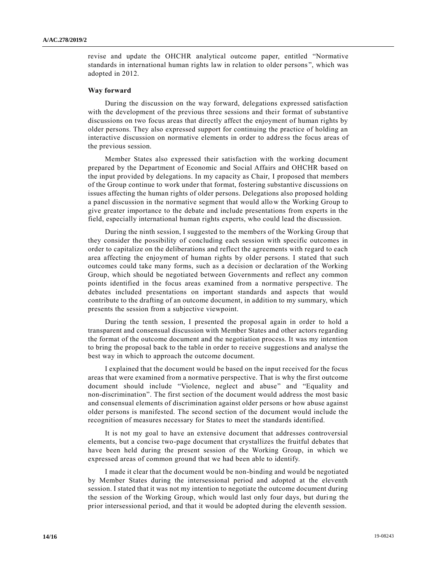revise and update the OHCHR analytical outcome paper, entitled "Normative standards in international human rights law in relation to older persons ", which was adopted in 2012.

#### **Way forward**

During the discussion on the way forward, delegations expressed satisfaction with the development of the previous three sessions and their format of substantive discussions on two focus areas that directly affect the enjoyment of human rights by older persons. They also expressed support for continuing the practice of holding an interactive discussion on normative elements in order to addre ss the focus areas of the previous session.

Member States also expressed their satisfaction with the working document prepared by the Department of Economic and Social Affairs and OHCHR based on the input provided by delegations. In my capacity as Chair, I proposed that members of the Group continue to work under that format, fostering substantive discussions on issues affecting the human rights of older persons. Delegations also proposed holding a panel discussion in the normative segment that would allow the Working Group to give greater importance to the debate and include presentations from experts in the field, especially international human rights experts, who could lead the discussion.

During the ninth session, I suggested to the members of the Working Group that they consider the possibility of concluding each session with specific outcomes in order to capitalize on the deliberations and reflect the agreements with regard to each area affecting the enjoyment of human rights by older persons. I stated that such outcomes could take many forms, such as a decision or declaration of the Working Group, which should be negotiated between Governments and reflect any common points identified in the focus areas examined from a normative perspective. The debates included presentations on important standards and aspects that would contribute to the drafting of an outcome document, in addition to my summary, which presents the session from a subjective viewpoint.

During the tenth session, I presented the proposal again in order to hold a transparent and consensual discussion with Member States and other actors regarding the format of the outcome document and the negotiation process. It was my intention to bring the proposal back to the table in order to receive suggestions and analyse the best way in which to approach the outcome document.

I explained that the document would be based on the input received for the focus areas that were examined from a normative perspective. That is why the first outcome document should include "Violence, neglect and abuse" and "Equality and non-discrimination". The first section of the document would address the most basic and consensual elements of discrimination against older persons or how abuse against older persons is manifested. The second section of the document would include the recognition of measures necessary for States to meet the standards identified.

It is not my goal to have an extensive document that addresses controversial elements, but a concise two-page document that crystallizes the fruitful debates that have been held during the present session of the Working Group, in which we expressed areas of common ground that we had been able to identify.

I made it clear that the document would be non-binding and would be negotiated by Member States during the intersessional period and adopted at the eleventh session. I stated that it was not my intention to negotiate the outcome document during the session of the Working Group, which would last only four days, but during the prior intersessional period, and that it would be adopted during the eleventh session.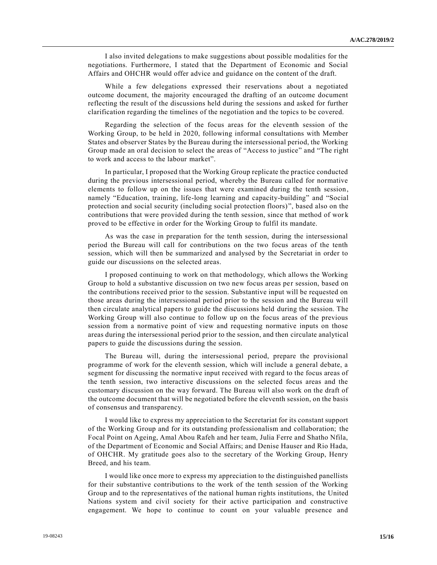I also invited delegations to make suggestions about possible modalities for the negotiations. Furthermore, I stated that the Department of Economic and Social Affairs and OHCHR would offer advice and guidance on the content of the draft.

While a few delegations expressed their reservations about a negotiated outcome document, the majority encouraged the drafting of an outcome document reflecting the result of the discussions held during the sessions and asked for further clarification regarding the timelines of the negotiation and the topics to be covered.

Regarding the selection of the focus areas for the eleventh session of the Working Group, to be held in 2020, following informal consultations with Member States and observer States by the Bureau during the intersessional period, the Working Group made an oral decision to select the areas of "Access to justice" and "The right to work and access to the labour market".

In particular, I proposed that the Working Group replicate the practice conducted during the previous intersessional period, whereby the Bureau called for normative elements to follow up on the issues that were examined during the tenth session, namely "Education, training, life-long learning and capacity-building" and "Social protection and social security (including social protection floors)", based also on the contributions that were provided during the tenth session, since that method of wor k proved to be effective in order for the Working Group to fulfil its mandate.

As was the case in preparation for the tenth session, during the intersessional period the Bureau will call for contributions on the two focus areas of the tenth session, which will then be summarized and analysed by the Secretariat in order to guide our discussions on the selected areas.

I proposed continuing to work on that methodology, which allows the Working Group to hold a substantive discussion on two new focus areas per session, based on the contributions received prior to the session. Substantive input will be requested on those areas during the intersessional period prior to the session and the Bureau will then circulate analytical papers to guide the discussions held during the session. The Working Group will also continue to follow up on the focus areas of the previous session from a normative point of view and requesting normative inputs on those areas during the intersessional period prior to the session, and then circulate analytical papers to guide the discussions during the session.

The Bureau will, during the intersessional period, prepare the provisional programme of work for the eleventh session, which will include a general debate, a segment for discussing the normative input received with regard to the focus areas of the tenth session, two interactive discussions on the selected focus areas and the customary discussion on the way forward. The Bureau will also work on the draft of the outcome document that will be negotiated before the eleventh session, on the basis of consensus and transparency.

I would like to express my appreciation to the Secretariat for its constant support of the Working Group and for its outstanding professionalism and collaboration; the Focal Point on Ageing, Amal Abou Rafeh and her team, Julia Ferre and Shatho Nfila, of the Department of Economic and Social Affairs; and Denise Hauser and Rio Hada, of OHCHR. My gratitude goes also to the secretary of the Working Group, Henry Breed, and his team.

I would like once more to express my appreciation to the distinguished panellists for their substantive contributions to the work of the tenth session of the Working Group and to the representatives of the national human rights institutions, the United Nations system and civil society for their active participation and constructive engagement. We hope to continue to count on your valuable presence and